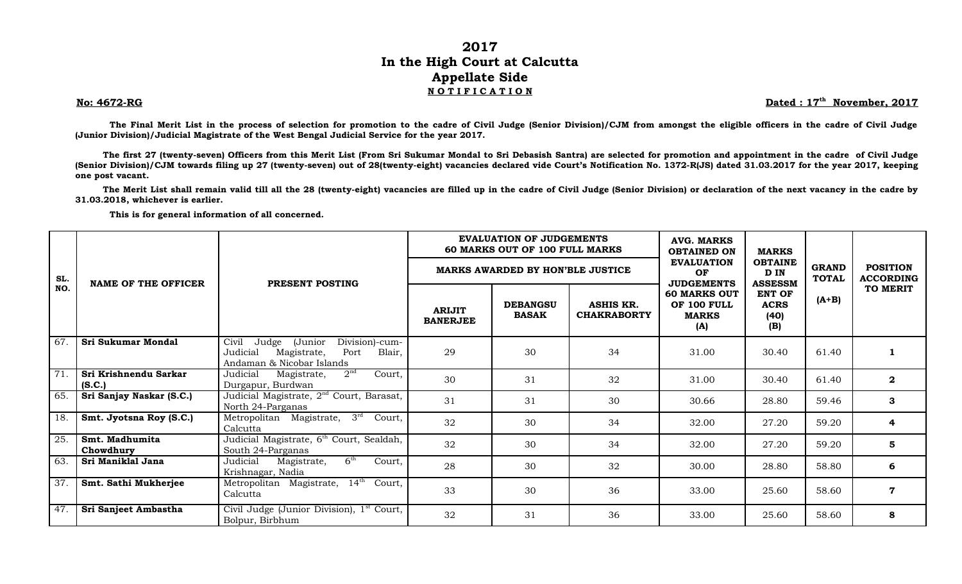## **2017 In the High Court at Calcutta Appellate Side N O T I F I C A T I O N**

## **No: 4672-RG Dated : 17th**

Dated: 17<sup>th</sup> November, 2017

**The Final Merit List in the process of selection for promotion to the cadre of Civil Judge (Senior Division)/CJM from amongst the eligible officers in the cadre of Civil Judge (Junior Division)/Judicial Magistrate of the West Bengal Judicial Service for the year 2017.**

**The first 27 (twenty-seven) Officers from this Merit List (From Sri Sukumar Mondal to Sri Debasish Santra) are selected for promotion and appointment in the cadre of Civil Judge (Senior Division)/CJM towards filing up 27 (twenty-seven) out of 28(twenty-eight) vacancies declared vide Court's Notification No. 1372-R(JS) dated 31.03.2017 for the year 2017, keeping one post vacant.**

**The Merit List shall remain valid till all the 28 (twenty-eight) vacancies are filled up in the cadre of Civil Judge (Senior Division) or declaration of the next vacancy in the cadre by 31.03.2018, whichever is earlier.**

**This is for general information of all concerned.** 

|     | <b>NAME OF THE OFFICER</b>      |                                                                                                                       | <b>EVALUATION OF JUDGEMENTS</b><br>60 MARKS OUT OF 100 FULL MARKS |                                 |                                        | <b>AVG. MARKS</b><br><b>OBTAINED ON</b>                                        | <b>MARKS</b>                                | <b>GRAND</b><br><b>TOTAL</b> | <b>POSITION</b><br><b>ACCORDING</b> |
|-----|---------------------------------|-----------------------------------------------------------------------------------------------------------------------|-------------------------------------------------------------------|---------------------------------|----------------------------------------|--------------------------------------------------------------------------------|---------------------------------------------|------------------------------|-------------------------------------|
| SL. |                                 | PRESENT POSTING                                                                                                       | <b>MARKS AWARDED BY HON'BLE JUSTICE</b>                           |                                 |                                        | <b>EVALUATION</b><br>OF                                                        | <b>OBTAINE</b><br>D IN<br><b>ASSESSM</b>    |                              |                                     |
| NO. |                                 |                                                                                                                       | <b>ARIJIT</b><br><b>BANERJEE</b>                                  | <b>DEBANGSU</b><br><b>BASAK</b> | <b>ASHIS KR.</b><br><b>CHAKRABORTY</b> | <b>JUDGEMENTS</b><br><b>60 MARKS OUT</b><br>OF 100 FULL<br><b>MARKS</b><br>(A) | <b>ENT OF</b><br><b>ACRS</b><br>(40)<br>(B) | $(A+B)$                      | TO MERIT                            |
| 67. | Sri Sukumar Mondal              | Division)-cum-<br>Civil<br>(Junior<br>Judge<br>Judicial<br>Port<br>Blair,<br>Magistrate,<br>Andaman & Nicobar Islands | 29                                                                | 30                              | 34                                     | 31.00                                                                          | 30.40                                       | 61.40                        |                                     |
| 71. | Sri Krishnendu Sarkar<br>(S.C.) | 2 <sup>nd</sup><br>Judicial<br>Court,<br>Magistrate,<br>Durgapur, Burdwan                                             | 30                                                                | 31                              | 32                                     | 31.00                                                                          | 30.40                                       | 61.40                        | $\bf{2}$                            |
| 65. | Sri Sanjay Naskar (S.C.)        | Judicial Magistrate, 2 <sup>nd</sup> Court, Barasat,<br>North 24-Parganas                                             | 31                                                                | 31                              | 30                                     | 30.66                                                                          | 28.80                                       | 59.46                        | 3                                   |
| 18. | Smt. Jyotsna Roy (S.C.)         | $3^{rd}$<br>Court,<br>Metropolitan Magistrate,<br>Calcutta                                                            | 32                                                                | 30                              | 34                                     | 32.00                                                                          | 27.20                                       | 59.20                        | 4                                   |
| 25. | Smt. Madhumita<br>Chowdhury     | Judicial Magistrate, 6 <sup>th</sup> Court, Sealdah,<br>South 24-Parganas                                             | 32                                                                | 30                              | 34                                     | 32.00                                                                          | 27.20                                       | 59.20                        | 5                                   |
| 63. | Sri Maniklal Jana               | 6 <sup>th</sup><br>Judicial<br>Court,<br>Magistrate,<br>Krishnagar, Nadia                                             | 28                                                                | 30                              | 32                                     | 30.00                                                                          | 28.80                                       | 58.80                        | 6                                   |
| 37. | Smt. Sathi Mukherjee            | Metropolitan Magistrate, 14th Court,<br>Calcutta                                                                      | 33                                                                | 30                              | 36                                     | 33.00                                                                          | 25.60                                       | 58.60                        | $\mathbf 7$                         |
| 47. | Sri Sanjeet Ambastha            | Civil Judge (Junior Division), 1 <sup>st</sup> Court,<br>Bolpur, Birbhum                                              | 32                                                                | 31                              | 36                                     | 33.00                                                                          | 25.60                                       | 58.60                        | 8                                   |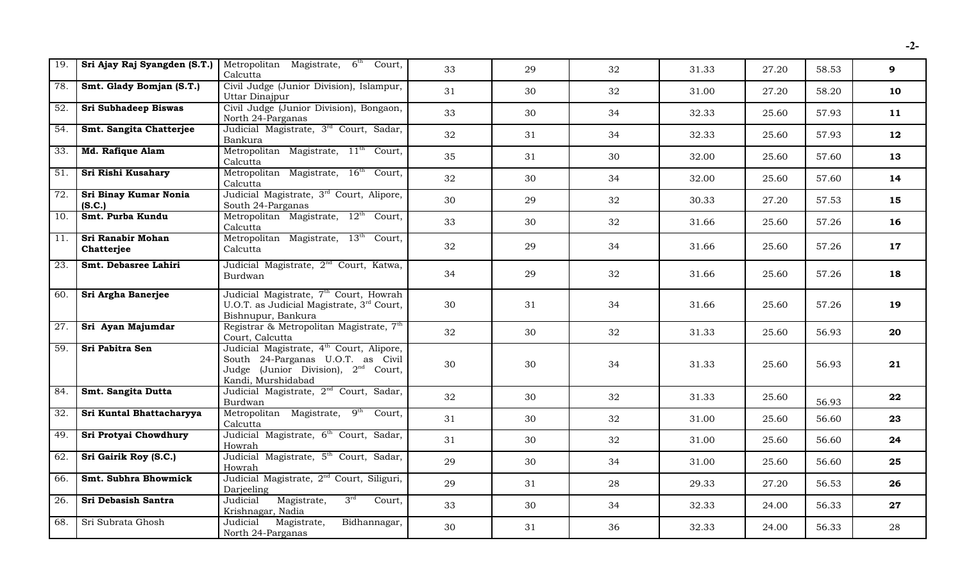| $\overline{19}$ . | Sri Ajay Raj Syangden (S.T.)           | Metropolitan Magistrate, 6 <sup>th</sup> Court,<br>Calcutta                                                                                                 | 33 | 29 | 32 | 31.33 | 27.20 | 58.53 | 9      |
|-------------------|----------------------------------------|-------------------------------------------------------------------------------------------------------------------------------------------------------------|----|----|----|-------|-------|-------|--------|
| 78.               | Smt. Glady Bomjan (S.T.)               | Civil Judge (Junior Division), Islampur,<br>Uttar Dinajpur                                                                                                  | 31 | 30 | 32 | 31.00 | 27.20 | 58.20 | 10     |
| 52.               | <b>Sri Subhadeep Biswas</b>            | Civil Judge (Junior Division), Bongaon,<br>North 24-Parganas                                                                                                | 33 | 30 | 34 | 32.33 | 25.60 | 57.93 | 11     |
| 54.               | Smt. Sangita Chatterjee                | Judicial Magistrate, 3 <sup>rd</sup> Court, Sadar,<br>Bankura                                                                                               | 32 | 31 | 34 | 32.33 | 25.60 | 57.93 | 12     |
| $\overline{33}$ . | <b>Md. Rafique Alam</b>                | Metropolitan Magistrate, 11 <sup>th</sup> Court,<br>Calcutta                                                                                                | 35 | 31 | 30 | 32.00 | 25.60 | 57.60 | 13     |
| $\overline{51}$ . | Sri Rishi Kusahary                     | Metropolitan Magistrate, 16 <sup>th</sup> Court,<br>Calcutta                                                                                                | 32 | 30 | 34 | 32.00 | 25.60 | 57.60 | 14     |
| $\overline{72}$ . | Sri Binay Kumar Nonia<br>(S.C.)        | Judicial Magistrate, 3 <sup>rd</sup> Court, Alipore,<br>South 24-Parganas                                                                                   | 30 | 29 | 32 | 30.33 | 27.20 | 57.53 | 15     |
| 10.               | Smt. Purba Kundu                       | Metropolitan Magistrate, $12^{th}$ Court,<br>Calcutta                                                                                                       | 33 | 30 | 32 | 31.66 | 25.60 | 57.26 | 16     |
| $\overline{11}$ . | <b>Sri Ranabir Mohan</b><br>Chatterjee | Metropolitan Magistrate, 13 <sup>th</sup> Court,<br>Calcutta                                                                                                | 32 | 29 | 34 | 31.66 | 25.60 | 57.26 | 17     |
| 23.               | Smt. Debasree Lahiri                   | Judicial Magistrate, 2 <sup>nd</sup> Court, Katwa,<br>Burdwan                                                                                               | 34 | 29 | 32 | 31.66 | 25.60 | 57.26 | 18     |
| 60.               | Sri Argha Banerjee                     | Judicial Magistrate, 7 <sup>th</sup> Court, Howrah<br>U.O.T. as Judicial Magistrate, 3rd Court,<br>Bishnupur, Bankura                                       | 30 | 31 | 34 | 31.66 | 25.60 | 57.26 | 19     |
| $\overline{27}$ . | Sri Ayan Majumdar                      | Registrar & Metropolitan Magistrate, 7th<br>Court, Calcutta                                                                                                 | 32 | 30 | 32 | 31.33 | 25.60 | 56.93 | 20     |
| 59.               | Sri Pabitra Sen                        | Judicial Magistrate, 4 <sup>th</sup> Court, Alipore,<br>South 24-Parganas U.O.T. as Civil<br>Judge (Junior Division), $2^{nd}$ Court,<br>Kandi, Murshidabad | 30 | 30 | 34 | 31.33 | 25.60 | 56.93 | 21     |
| 84.               | Smt. Sangita Dutta                     | Judicial Magistrate, 2 <sup>nd</sup> Court, Sadar,<br>Burdwan                                                                                               | 32 | 30 | 32 | 31.33 | 25.60 | 56.93 | 22     |
| 32.               | Sri Kuntal Bhattacharyya               | Metropolitan Magistrate, 9 <sup>th</sup> Court,<br>Calcutta                                                                                                 | 31 | 30 | 32 | 31.00 | 25.60 | 56.60 | 23     |
| 49.               | Sri Protyai Chowdhury                  | Judicial Magistrate, 6 <sup>th</sup> Court, Sadar,<br>Howrah                                                                                                | 31 | 30 | 32 | 31.00 | 25.60 | 56.60 | 24     |
| 62.               | Sri Gairik Roy (S.C.)                  | Judicial Magistrate, 5 <sup>th</sup> Court, Sadar,<br>Howrah                                                                                                | 29 | 30 | 34 | 31.00 | 25.60 | 56.60 | 25     |
| 66.               | <b>Smt. Subhra Bhowmick</b>            | Judicial Magistrate, 2 <sup>nd</sup> Court, Siliguri,<br>Darjeeling                                                                                         | 29 | 31 | 28 | 29.33 | 27.20 | 56.53 | 26     |
| 26.               | Sri Debasish Santra                    | Judicial Magistrate,<br>3 <sup>rd</sup><br>Court,<br>Krishnagar, Nadia                                                                                      | 33 | 30 | 34 | 32.33 | 24.00 | 56.33 | $27\,$ |
| 68.               | Sri Subrata Ghosh                      | Judicial Magistrate,<br>Bidhannagar,<br>North 24-Parganas                                                                                                   | 30 | 31 | 36 | 32.33 | 24.00 | 56.33 | 28     |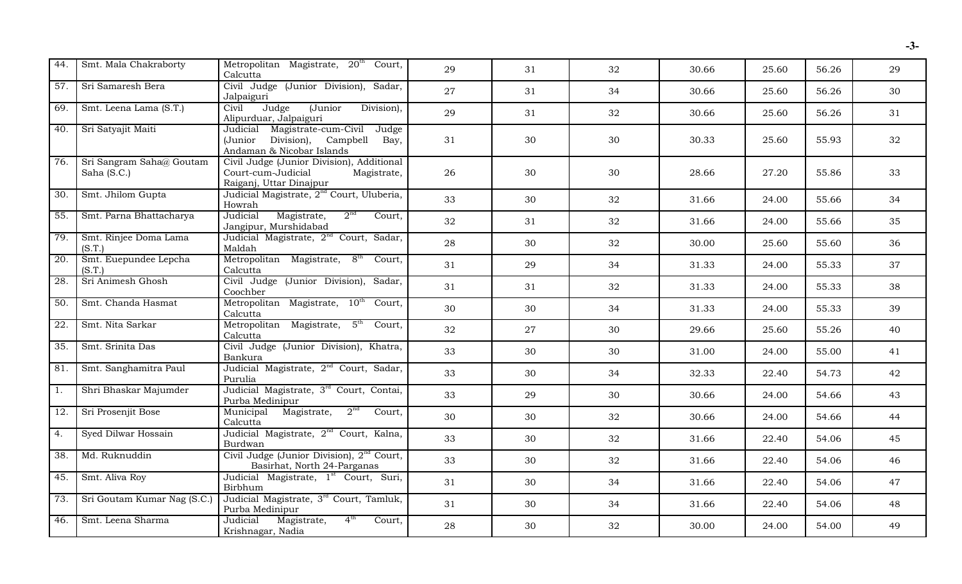| 44.               | Smt. Mala Chakraborty                   | Metropolitan Magistrate, 20 <sup>th</sup> Court,<br>Calcutta                                              | 29 | 31 | 32 | 30.66 | 25.60 | 56.26 | 29 |
|-------------------|-----------------------------------------|-----------------------------------------------------------------------------------------------------------|----|----|----|-------|-------|-------|----|
| $\overline{57}$ . | Sri Samaresh Bera                       | Civil Judge (Junior Division), Sadar,<br>Jalpaiguri                                                       | 27 | 31 | 34 | 30.66 | 25.60 | 56.26 | 30 |
| 69.               | Smt. Leena Lama (S.T.)                  | $\overline{(Junior)}$<br>Judge<br>Division),<br>Civil<br>Alipurduar, Jalpaiguri                           | 29 | 31 | 32 | 30.66 | 25.60 | 56.26 | 31 |
| 40.               | Sri Satyajit Maiti                      | Judicial Magistrate-cum-Civil Judge<br>(Junior Division), Campbell Bay,<br>Andaman & Nicobar Islands      | 31 | 30 | 30 | 30.33 | 25.60 | 55.93 | 32 |
| 76.               | Sri Sangram Saha@ Goutam<br>Saha (S.C.) | Civil Judge (Junior Division), Additional<br>Court-cum-Judicial<br>Magistrate,<br>Raiganj, Uttar Dinajpur | 26 | 30 | 30 | 28.66 | 27.20 | 55.86 | 33 |
| 30.               | Smt. Jhilom Gupta                       | Judicial Magistrate, 2 <sup>nd</sup> Court, Uluberia,<br>Howrah                                           | 33 | 30 | 32 | 31.66 | 24.00 | 55.66 | 34 |
| $\overline{55}$ . | Smt. Parna Bhattacharya                 | 2 <sup>nd</sup><br>Magistrate,<br>Judicial<br>Court,<br>Jangipur, Murshidabad                             | 32 | 31 | 32 | 31.66 | 24.00 | 55.66 | 35 |
| 79.               | Smt. Rinjee Doma Lama<br>(S.T.)         | Judicial Magistrate, 2 <sup>nd</sup> Court, Sadar,<br>Maldah                                              | 28 | 30 | 32 | 30.00 | 25.60 | 55.60 | 36 |
| $\overline{20}$ . | Smt. Euepundee Lepcha<br>(S.T.)         | Metropolitan Magistrate, 8 <sup>th</sup> Court,<br>Calcutta                                               | 31 | 29 | 34 | 31.33 | 24.00 | 55.33 | 37 |
| 28.               | Sri Animesh Ghosh                       | Civil Judge (Junior Division), Sadar,<br>Coochber                                                         | 31 | 31 | 32 | 31.33 | 24.00 | 55.33 | 38 |
| 50.               | Smt. Chanda Hasmat                      | Metropolitan Magistrate, 10 <sup>th</sup> Court,<br>Calcutta                                              | 30 | 30 | 34 | 31.33 | 24.00 | 55.33 | 39 |
| $\overline{22}$ . | Smt. Nita Sarkar                        | Metropolitan Magistrate, 5 <sup>th</sup> Court,<br>Calcutta                                               | 32 | 27 | 30 | 29.66 | 25.60 | 55.26 | 40 |
| 35.               | Smt. Srinita Das                        | Civil Judge (Junior Division), Khatra,<br>Bankura                                                         | 33 | 30 | 30 | 31.00 | 24.00 | 55.00 | 41 |
| 81.               | Smt. Sanghamitra Paul                   | Judicial Magistrate, 2 <sup>nd</sup> Court, Sadar,<br>Purulia                                             | 33 | 30 | 34 | 32.33 | 22.40 | 54.73 | 42 |
| $\overline{1}$ .  | Shri Bhaskar Majumder                   | Judicial Magistrate, 3 <sup>rd</sup> Court, Contai,<br>Purba Medinipur                                    | 33 | 29 | 30 | 30.66 | 24.00 | 54.66 | 43 |
| 12.               | Sri Prosenjit Bose                      | Municipal Magistrate, 2 <sup>nd</sup> Court,<br>Calcutta                                                  | 30 | 30 | 32 | 30.66 | 24.00 | 54.66 | 44 |
| $\overline{4}$ .  | Syed Dilwar Hossain                     | Judicial Magistrate, 2 <sup>nd</sup> Court, Kalna,<br>Burdwan                                             | 33 | 30 | 32 | 31.66 | 22.40 | 54.06 | 45 |
| 38.               | Md. Ruknuddin                           | Civil Judge (Junior Division), $2nd$ Court,<br>Basirhat, North 24-Parganas                                | 33 | 30 | 32 | 31.66 | 22.40 | 54.06 | 46 |
| 45.               | Smt. Aliva Roy                          | Judicial Magistrate, 1st Court, Suri,<br>Birbhum                                                          | 31 | 30 | 34 | 31.66 | 22.40 | 54.06 | 47 |
| 73.               | Sri Goutam Kumar Nag (S.C.)             | Judicial Magistrate, 3rd Court, Tamluk,<br>Purba Medinipur                                                | 31 | 30 | 34 | 31.66 | 22.40 | 54.06 | 48 |
| 46.               | Smt. Leena Sharma                       | 4 <sup>th</sup><br>Judicial<br>Magistrate,<br>Court,<br>Krishnagar, Nadia                                 | 28 | 30 | 32 | 30.00 | 24.00 | 54.00 | 49 |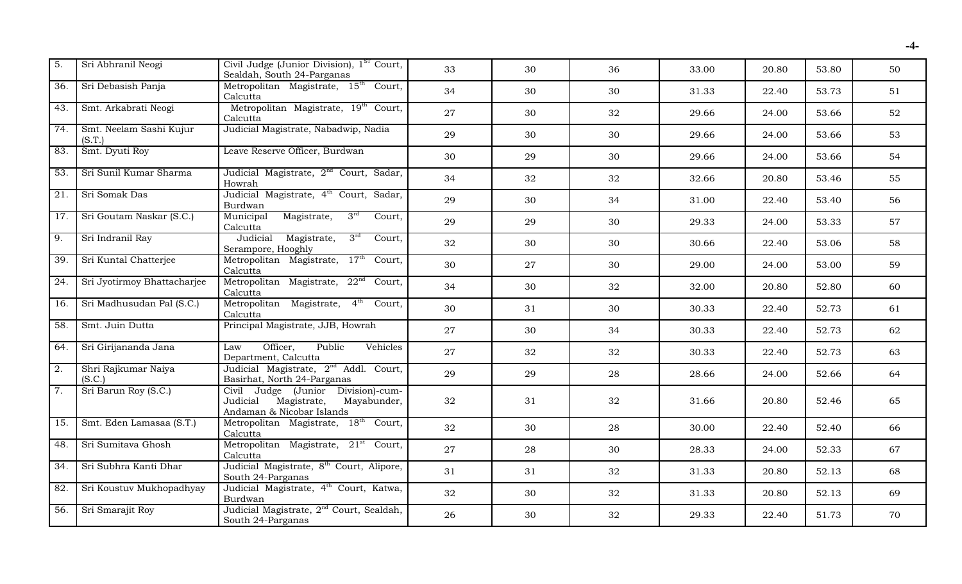| $\overline{5}$ .  | Sri Abhranil Neogi                | Civil Judge (Junior Division), 1 <sup>ST</sup> Court,<br>Sealdah, South 24-Parganas                       | 33 | 30 | 36 | 33.00 | 20.80 | 53.80 | 50 |
|-------------------|-----------------------------------|-----------------------------------------------------------------------------------------------------------|----|----|----|-------|-------|-------|----|
| 36.               | Sri Debasish Panja                | Metropolitan Magistrate, 15 <sup>th</sup> Court,<br>Calcutta                                              | 34 | 30 | 30 | 31.33 | 22.40 | 53.73 | 51 |
| 43.               | Smt. Arkabrati Neogi              | Metropolitan Magistrate, 19th Court,<br>Calcutta                                                          | 27 | 30 | 32 | 29.66 | 24.00 | 53.66 | 52 |
| 74.               | Smt. Neelam Sashi Kujur<br>(S.T.) | Judicial Magistrate, Nabadwip, Nadia                                                                      | 29 | 30 | 30 | 29.66 | 24.00 | 53.66 | 53 |
| 83.               | Smt. Dyuti Roy                    | Leave Reserve Officer, Burdwan                                                                            | 30 | 29 | 30 | 29.66 | 24.00 | 53.66 | 54 |
| $\overline{53}$ . | Sri Sunil Kumar Sharma            | Judicial Magistrate, 2 <sup>nd</sup> Court, Sadar,<br>Howrah                                              | 34 | 32 | 32 | 32.66 | 20.80 | 53.46 | 55 |
| 21.               | Sri Somak Das                     | Judicial Magistrate, 4 <sup>th</sup> Court, Sadar,<br>Burdwan                                             | 29 | 30 | 34 | 31.00 | 22.40 | 53.40 | 56 |
| $\overline{17}$ . | Sri Goutam Naskar (S.C.)          | Magistrate, $3^{rd}$ Court,<br>Municipal<br>Calcutta                                                      | 29 | 29 | 30 | 29.33 | 24.00 | 53.33 | 57 |
| $\overline{9}$ .  | Sri Indranil Ray                  | Judicial Magistrate,<br>$3^{rd}$<br>Court,<br>Serampore, Hooghly                                          | 32 | 30 | 30 | 30.66 | 22.40 | 53.06 | 58 |
| $\overline{39}$ . | Sri Kuntal Chatterjee             | Metropolitan Magistrate, 17 <sup>th</sup> Court,<br>Calcutta                                              | 30 | 27 | 30 | 29.00 | 24.00 | 53.00 | 59 |
| $\overline{24}$ . | Sri Jyotirmoy Bhattacharjee       | Metropolitan Magistrate, 22 <sup>nd</sup> Court,<br>Calcutta                                              | 34 | 30 | 32 | 32.00 | 20.80 | 52.80 | 60 |
| 16.               | Sri Madhusudan Pal (S.C.)         | Metropolitan Magistrate, 4 <sup>th</sup> Court,<br>Calcutta                                               | 30 | 31 | 30 | 30.33 | 22.40 | 52.73 | 61 |
| 58.               | Smt. Juin Dutta                   | Principal Magistrate, JJB, Howrah                                                                         | 27 | 30 | 34 | 30.33 | 22.40 | 52.73 | 62 |
| $\overline{64}$ . | Sri Girijananda Jana              | Public<br>Officer,<br>Vehicles<br>Law<br>Department, Calcutta                                             | 27 | 32 | 32 | 30.33 | 22.40 | 52.73 | 63 |
| $\overline{2}$ .  | Shri Rajkumar Naiya<br>(S.C.)     | Judicial Magistrate, 2 <sup>nd</sup> Addl. Court,<br>Basirhat, North 24-Parganas                          | 29 | 29 | 28 | 28.66 | 24.00 | 52.66 | 64 |
| 7.                | Sri Barun Roy (S.C.)              | Civil Judge (Junior Division)-cum-<br>Magistrate,<br>Judicial<br>Mayabunder,<br>Andaman & Nicobar Islands | 32 | 31 | 32 | 31.66 | 20.80 | 52.46 | 65 |
| 15.               | Smt. Eden Lamasaa (S.T.)          | Metropolitan Magistrate, 18 <sup>th</sup> Court,<br>Calcutta                                              | 32 | 30 | 28 | 30.00 | 22.40 | 52.40 | 66 |
| 48.               | Sri Sumitava Ghosh                | Metropolitan Magistrate, 21 <sup>st</sup> Court,<br>Calcutta                                              | 27 | 28 | 30 | 28.33 | 24.00 | 52.33 | 67 |
| 34.               | Sri Subhra Kanti Dhar             | Judicial Magistrate, 8 <sup>th</sup> Court, Alipore,<br>South 24-Parganas                                 | 31 | 31 | 32 | 31.33 | 20.80 | 52.13 | 68 |
| 82.               | Sri Koustuv Mukhopadhyay          | Judicial Magistrate, 4 <sup>th</sup> Court, Katwa,<br>Burdwan                                             | 32 | 30 | 32 | 31.33 | 20.80 | 52.13 | 69 |
| 56.               | Sri Smarajit Roy                  | Judicial Magistrate, 2 <sup>nd</sup> Court, Sealdah,<br>South 24-Parganas                                 | 26 | 30 | 32 | 29.33 | 22.40 | 51.73 | 70 |